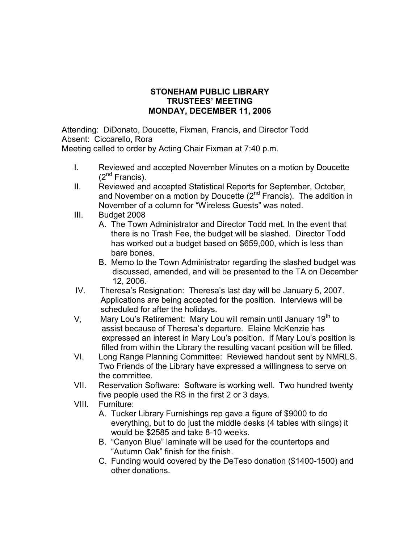## STONEHAM PUBLIC LIBRARY TRUSTEES' MEETING MONDAY, DECEMBER 11, 2006

Attending: DiDonato, Doucette, Fixman, Francis, and Director Todd Absent: Ciccarello, Rora

Meeting called to order by Acting Chair Fixman at 7:40 p.m.

- I. Reviewed and accepted November Minutes on a motion by Doucette  $(2^{nd}$  Francis).
- II. Reviewed and accepted Statistical Reports for September, October, and November on a motion by Doucette  $(2^{nd}$  Francis). The addition in November of a column for "Wireless Guests" was noted.
- III. Budget 2008
	- A. The Town Administrator and Director Todd met. In the event that there is no Trash Fee, the budget will be slashed. Director Todd has worked out a budget based on \$659,000, which is less than bare bones.
	- B. Memo to the Town Administrator regarding the slashed budget was discussed, amended, and will be presented to the TA on December 12, 2006.
- IV. Theresa's Resignation: Theresa's last day will be January 5, 2007. Applications are being accepted for the position. Interviews will be scheduled for after the holidays.
- V, Mary Lou's Retirement: Mary Lou will remain until January  $19<sup>th</sup>$  to assist because of Theresa's departure. Elaine McKenzie has expressed an interest in Mary Lou's position. If Mary Lou's position is filled from within the Library the resulting vacant position will be filled.
- VI. Long Range Planning Committee: Reviewed handout sent by NMRLS. Two Friends of the Library have expressed a willingness to serve on the committee.
- VII. Reservation Software: Software is working well. Two hundred twenty five people used the RS in the first 2 or 3 days.
- VIII. Furniture:
	- A. Tucker Library Furnishings rep gave a figure of \$9000 to do everything, but to do just the middle desks (4 tables with slings) it would be \$2585 and take 8-10 weeks.
	- B. "Canyon Blue" laminate will be used for the countertops and "Autumn Oak" finish for the finish.
	- C. Funding would covered by the DeTeso donation (\$1400-1500) and other donations.